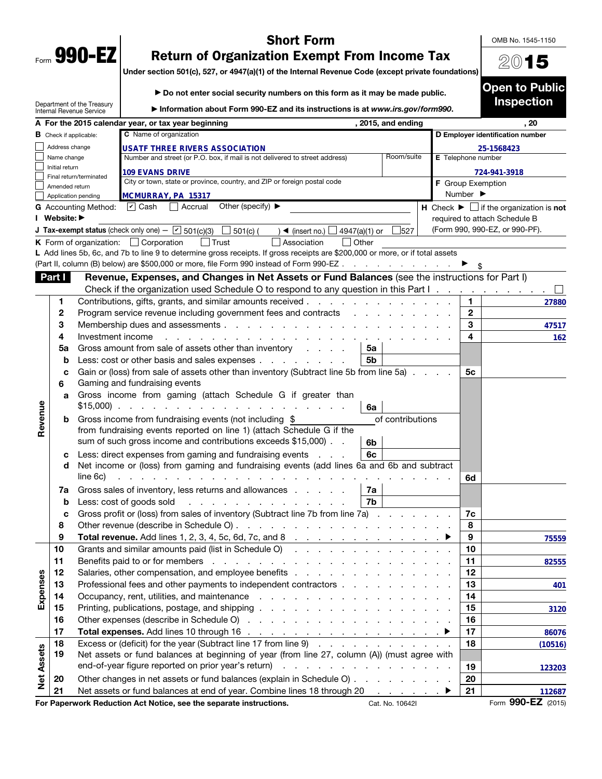|      | 990- |  |
|------|------|--|
| Form | M    |  |

## Short Form

OMB No. 1545-1150

2015

## Return of Organization Exempt From Income Tax

Under section 501(c), 527, or 4947(a)(1) of the Internal Revenue Code (except private foundations)

|                   |                               |                                                        | Do not enter social security numbers on this form as it may be made public.                                                                                 |                              | <b>Open to Public</b>                                           |
|-------------------|-------------------------------|--------------------------------------------------------|-------------------------------------------------------------------------------------------------------------------------------------------------------------|------------------------------|-----------------------------------------------------------------|
|                   |                               | Department of the Treasury<br>Internal Revenue Service | Information about Form 990-EZ and its instructions is at www.irs.gov/form990.                                                                               |                              | <b>Inspection</b>                                               |
|                   |                               |                                                        | A For the 2015 calendar year, or tax year beginning<br>, 2015, and ending                                                                                   |                              | , 20                                                            |
|                   | <b>B</b> Check if applicable: |                                                        | C Name of organization                                                                                                                                      |                              | D Employer identification number                                |
|                   | Address change                |                                                        | USATF THREE RIVERS ASSOCIATION                                                                                                                              |                              | 25-1568423                                                      |
|                   | Name change                   |                                                        | Room/suite<br>Number and street (or P.O. box, if mail is not delivered to street address)                                                                   | E Telephone number           |                                                                 |
|                   | Initial return                | Final return/terminated                                | <b>109 EVANS DRIVE</b>                                                                                                                                      |                              | 724-941-3918                                                    |
|                   | Amended return                |                                                        | City or town, state or province, country, and ZIP or foreign postal code                                                                                    | F Group Exemption            |                                                                 |
|                   |                               | Application pending                                    | MCMURRAY, PA 15317                                                                                                                                          | Number $\blacktriangleright$ |                                                                 |
|                   |                               | <b>G</b> Accounting Method:                            | Other (specify) ▶<br>$ v $ Cash<br>Accrual                                                                                                                  |                              | $H$ Check $\blacktriangleright \Box$ if the organization is not |
|                   | I Website: ▶                  |                                                        |                                                                                                                                                             |                              | required to attach Schedule B                                   |
|                   |                               |                                                        | <b>J Tax-exempt status</b> (check only one) $ \boxed{V}$ 501(c)(3) $\boxed{\phantom{0}}$ 501(c) (<br>527<br>$\rightarrow$ (insert no.) $\Box$ 4947(a)(1) or |                              | (Form 990, 990-EZ, or 990-PF).                                  |
|                   |                               |                                                        | K Form of organization: $\Box$ Corporation<br>$\vert$ Trust<br>Association<br>$\Box$ Other                                                                  |                              |                                                                 |
|                   |                               |                                                        | L Add lines 5b, 6c, and 7b to line 9 to determine gross receipts. If gross receipts are \$200,000 or more, or if total assets                               |                              |                                                                 |
|                   |                               |                                                        | (Part II, column (B) below) are \$500,000 or more, file Form 990 instead of Form 990-EZ                                                                     |                              |                                                                 |
|                   | Part I                        |                                                        | Revenue, Expenses, and Changes in Net Assets or Fund Balances (see the instructions for Part I)                                                             |                              |                                                                 |
|                   |                               |                                                        | Check if the organization used Schedule O to respond to any question in this Part I.                                                                        |                              | $\perp$                                                         |
|                   | 1                             |                                                        | Contributions, gifts, grants, and similar amounts received                                                                                                  | 1.                           | 27880                                                           |
|                   | 2                             |                                                        | Program service revenue including government fees and contracts                                                                                             | $\mathbf{2}$                 |                                                                 |
|                   | 3                             |                                                        |                                                                                                                                                             | 3                            | 47517                                                           |
|                   | 4                             | Investment income                                      | de la caractería de la caractería de la caractería                                                                                                          | 4                            | 162                                                             |
|                   | 5a                            |                                                        | Gross amount from sale of assets other than inventory<br>5a                                                                                                 |                              |                                                                 |
|                   | b                             |                                                        | Less: cost or other basis and sales expenses<br>5b                                                                                                          |                              |                                                                 |
|                   | c                             |                                                        | Gain or (loss) from sale of assets other than inventory (Subtract line 5b from line 5a)                                                                     | 5c                           |                                                                 |
|                   | 6                             |                                                        | Gaming and fundraising events                                                                                                                               |                              |                                                                 |
|                   | a                             |                                                        | Gross income from gaming (attach Schedule G if greater than<br>$$15,000$<br>6a                                                                              |                              |                                                                 |
| Revenue           | b                             |                                                        | of contributions<br>Gross income from fundraising events (not including \$                                                                                  |                              |                                                                 |
|                   |                               |                                                        | from fundraising events reported on line 1) (attach Schedule G if the                                                                                       |                              |                                                                 |
|                   |                               |                                                        | sum of such gross income and contributions exceeds \$15,000).<br>6b                                                                                         |                              |                                                                 |
|                   | с                             |                                                        | 6c<br>Less: direct expenses from gaming and fundraising events                                                                                              |                              |                                                                 |
|                   | d                             |                                                        | Net income or (loss) from gaming and fundraising events (add lines 6a and 6b and subtract                                                                   |                              |                                                                 |
|                   |                               | line 6c)                                               | and the contract of the contract of the contract of                                                                                                         | 6d                           |                                                                 |
|                   | 7a                            |                                                        | Gross sales of inventory, less returns and allowances<br>7a                                                                                                 |                              |                                                                 |
|                   | b                             |                                                        | 7b<br>Less: cost of goods sold<br>and the contract of the contract of the con-                                                                              |                              |                                                                 |
|                   | с                             |                                                        | Gross profit or (loss) from sales of inventory (Subtract line 7b from line 7a)                                                                              | 7c                           |                                                                 |
|                   | 8                             |                                                        |                                                                                                                                                             | 8                            |                                                                 |
|                   | 9                             |                                                        |                                                                                                                                                             | 9                            | 75559                                                           |
|                   | 10                            |                                                        | Grants and similar amounts paid (list in Schedule O)                                                                                                        | 10                           |                                                                 |
|                   | 11                            |                                                        | Benefits paid to or for members<br>والمتواصل والمتواطن والمتواطن والمتواطن والمتواطن والمتواطن والمتواطن                                                    | 11                           | 82555                                                           |
|                   | 12                            |                                                        |                                                                                                                                                             | 12                           |                                                                 |
| Expenses          | 13                            |                                                        | Professional fees and other payments to independent contractors                                                                                             | 13                           | 401                                                             |
|                   | 14                            |                                                        |                                                                                                                                                             | 14                           |                                                                 |
|                   | 15                            |                                                        |                                                                                                                                                             | 15                           | 3120                                                            |
|                   | 16                            |                                                        |                                                                                                                                                             | 16                           |                                                                 |
|                   | 17                            |                                                        |                                                                                                                                                             | 17                           | 86076                                                           |
|                   | 18                            |                                                        | Excess or (deficit) for the year (Subtract line 17 from line 9)                                                                                             | 18                           | (10516)                                                         |
|                   | 19                            |                                                        | Net assets or fund balances at beginning of year (from line 27, column (A)) (must agree with                                                                |                              |                                                                 |
|                   |                               |                                                        |                                                                                                                                                             | 19                           | 123203                                                          |
| <b>Net Assets</b> | 20                            |                                                        | Other changes in net assets or fund balances (explain in Schedule O)                                                                                        | 20                           |                                                                 |
|                   | 21                            |                                                        | Net assets or fund balances at end of year. Combine lines 18 through 20                                                                                     | 21                           | 112687                                                          |

For Paperwork Reduction Act Notice, see the separate instructions. Cat. No. 10642I Form 990-EZ (2015)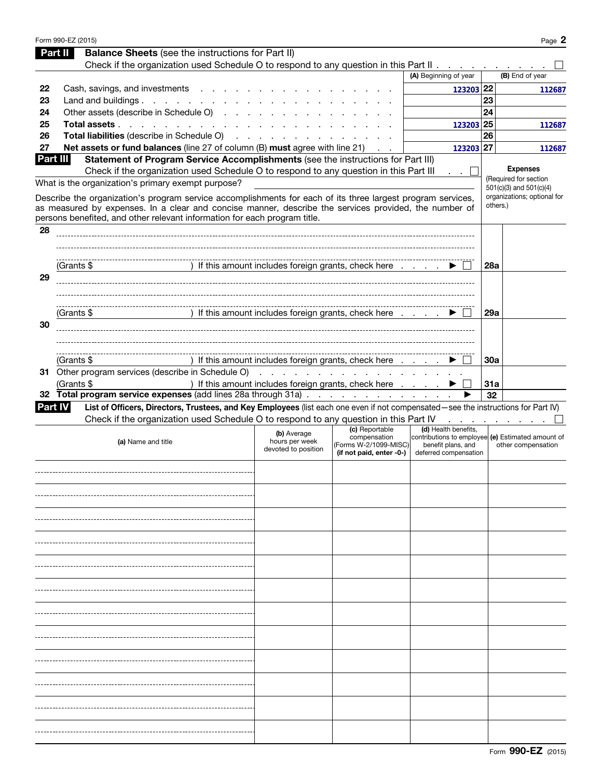|                | Form 990-EZ (2015)                                                                                                                                                                                                   |                                                                                     |                                       |                                                                         |            | Page 2                                                 |
|----------------|----------------------------------------------------------------------------------------------------------------------------------------------------------------------------------------------------------------------|-------------------------------------------------------------------------------------|---------------------------------------|-------------------------------------------------------------------------|------------|--------------------------------------------------------|
|                | <b>Balance Sheets</b> (see the instructions for Part II)<br>Part II                                                                                                                                                  |                                                                                     |                                       |                                                                         |            |                                                        |
|                | Check if the organization used Schedule O to respond to any question in this Part II                                                                                                                                 |                                                                                     |                                       |                                                                         |            |                                                        |
|                |                                                                                                                                                                                                                      |                                                                                     |                                       | (A) Beginning of year                                                   |            | (B) End of year                                        |
| 22             | Cash, savings, and investments                                                                                                                                                                                       |                                                                                     |                                       | 123203 22                                                               |            | 112687                                                 |
| 23             | Land and buildings                                                                                                                                                                                                   |                                                                                     |                                       |                                                                         | 23         |                                                        |
| 24             | Other assets (describe in Schedule O)                                                                                                                                                                                |                                                                                     |                                       |                                                                         | 24         |                                                        |
| 25             | Total assets                                                                                                                                                                                                         |                                                                                     |                                       | 123203 25                                                               |            | 112687                                                 |
| 26             | Total liabilities (describe in Schedule O)                                                                                                                                                                           |                                                                                     |                                       |                                                                         | 26         |                                                        |
| 27             | Net assets or fund balances (line 27 of column (B) must agree with line 21)                                                                                                                                          |                                                                                     | $\sim 100$ km s $^{-1}$               | 123203 27                                                               |            | 112687                                                 |
| Part III       | Statement of Program Service Accomplishments (see the instructions for Part III)                                                                                                                                     |                                                                                     |                                       |                                                                         |            |                                                        |
|                | Check if the organization used Schedule O to respond to any question in this Part III                                                                                                                                |                                                                                     |                                       | . . L                                                                   |            | <b>Expenses</b>                                        |
|                | What is the organization's primary exempt purpose?                                                                                                                                                                   |                                                                                     |                                       |                                                                         |            | (Required for section                                  |
|                |                                                                                                                                                                                                                      |                                                                                     |                                       |                                                                         |            | 501(c)(3) and 501(c)(4)<br>organizations; optional for |
|                | Describe the organization's program service accomplishments for each of its three largest program services,<br>as measured by expenses. In a clear and concise manner, describe the services provided, the number of |                                                                                     |                                       |                                                                         |            | others.)                                               |
|                | persons benefited, and other relevant information for each program title.                                                                                                                                            |                                                                                     |                                       |                                                                         |            |                                                        |
| 28             |                                                                                                                                                                                                                      |                                                                                     |                                       |                                                                         |            |                                                        |
|                |                                                                                                                                                                                                                      |                                                                                     |                                       |                                                                         |            |                                                        |
|                |                                                                                                                                                                                                                      |                                                                                     |                                       |                                                                         |            |                                                        |
|                | (Grants \$                                                                                                                                                                                                           | ) If this amount includes foreign grants, check here $\ldots$ $\blacktriangleright$ |                                       |                                                                         | <b>28a</b> |                                                        |
| 29             |                                                                                                                                                                                                                      |                                                                                     |                                       |                                                                         |            |                                                        |
|                |                                                                                                                                                                                                                      |                                                                                     |                                       |                                                                         |            |                                                        |
|                |                                                                                                                                                                                                                      |                                                                                     |                                       |                                                                         |            |                                                        |
|                | (Grants \$                                                                                                                                                                                                           | ) If this amount includes foreign grants, check here                                |                                       |                                                                         | <b>29a</b> |                                                        |
| 30             |                                                                                                                                                                                                                      |                                                                                     |                                       |                                                                         |            |                                                        |
|                |                                                                                                                                                                                                                      |                                                                                     |                                       |                                                                         |            |                                                        |
|                |                                                                                                                                                                                                                      |                                                                                     |                                       |                                                                         |            |                                                        |
|                | (Grants $$$                                                                                                                                                                                                          | ) If this amount includes foreign grants, check here                                |                                       |                                                                         | 30a        |                                                        |
|                |                                                                                                                                                                                                                      |                                                                                     |                                       |                                                                         |            |                                                        |
|                | (Grants \$                                                                                                                                                                                                           | ) If this amount includes foreign grants, check here                                |                                       |                                                                         | 31a        |                                                        |
|                | 32 Total program service expenses (add lines 28a through 31a)                                                                                                                                                        |                                                                                     |                                       |                                                                         | 32         |                                                        |
| <b>Part IV</b> | List of Officers, Directors, Trustees, and Key Employees (list each one even if not compensated—see the instructions for Part IV)                                                                                    |                                                                                     |                                       |                                                                         |            |                                                        |
|                | Check if the organization used Schedule O to respond to any question in this Part IV                                                                                                                                 |                                                                                     |                                       |                                                                         |            | the company of the company of                          |
|                |                                                                                                                                                                                                                      | (b) Average                                                                         | (c) Reportable                        | (d) Health benefits,                                                    |            |                                                        |
|                | (a) Name and title                                                                                                                                                                                                   | hours per week                                                                      | compensation<br>(Forms W-2/1099-MISC) | contributions to employee (e) Estimated amount of<br>benefit plans, and |            | other compensation                                     |
|                |                                                                                                                                                                                                                      | devoted to position                                                                 | (if not paid, enter -0-)              | deferred compensation                                                   |            |                                                        |
|                |                                                                                                                                                                                                                      |                                                                                     |                                       |                                                                         |            |                                                        |
|                |                                                                                                                                                                                                                      |                                                                                     |                                       |                                                                         |            |                                                        |
|                |                                                                                                                                                                                                                      |                                                                                     |                                       |                                                                         |            |                                                        |
|                |                                                                                                                                                                                                                      |                                                                                     |                                       |                                                                         |            |                                                        |
|                |                                                                                                                                                                                                                      |                                                                                     |                                       |                                                                         |            |                                                        |
|                |                                                                                                                                                                                                                      |                                                                                     |                                       |                                                                         |            |                                                        |
|                |                                                                                                                                                                                                                      |                                                                                     |                                       |                                                                         |            |                                                        |
|                |                                                                                                                                                                                                                      |                                                                                     |                                       |                                                                         |            |                                                        |
|                |                                                                                                                                                                                                                      |                                                                                     |                                       |                                                                         |            |                                                        |
|                |                                                                                                                                                                                                                      |                                                                                     |                                       |                                                                         |            |                                                        |
|                |                                                                                                                                                                                                                      |                                                                                     |                                       |                                                                         |            |                                                        |
|                |                                                                                                                                                                                                                      |                                                                                     |                                       |                                                                         |            |                                                        |
|                |                                                                                                                                                                                                                      |                                                                                     |                                       |                                                                         |            |                                                        |
|                |                                                                                                                                                                                                                      |                                                                                     |                                       |                                                                         |            |                                                        |
|                |                                                                                                                                                                                                                      |                                                                                     |                                       |                                                                         |            |                                                        |
|                |                                                                                                                                                                                                                      |                                                                                     |                                       |                                                                         |            |                                                        |
|                |                                                                                                                                                                                                                      |                                                                                     |                                       |                                                                         |            |                                                        |
|                |                                                                                                                                                                                                                      |                                                                                     |                                       |                                                                         |            |                                                        |
|                |                                                                                                                                                                                                                      |                                                                                     |                                       |                                                                         |            |                                                        |
|                |                                                                                                                                                                                                                      |                                                                                     |                                       |                                                                         |            |                                                        |
|                |                                                                                                                                                                                                                      |                                                                                     |                                       |                                                                         |            |                                                        |
|                |                                                                                                                                                                                                                      |                                                                                     |                                       |                                                                         |            |                                                        |
|                |                                                                                                                                                                                                                      |                                                                                     |                                       |                                                                         |            |                                                        |
|                |                                                                                                                                                                                                                      |                                                                                     |                                       |                                                                         |            |                                                        |
|                |                                                                                                                                                                                                                      |                                                                                     |                                       |                                                                         |            |                                                        |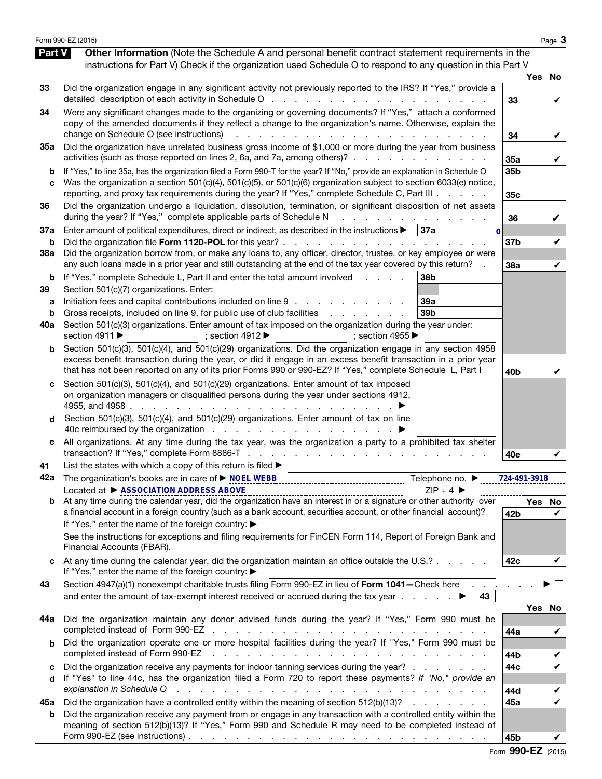|                          | Form 990-EZ (2015)                                                                                                                                                                                                                                                                                                                                                                                                                                                                                                                              |                                    |                  | Page 3            |
|--------------------------|-------------------------------------------------------------------------------------------------------------------------------------------------------------------------------------------------------------------------------------------------------------------------------------------------------------------------------------------------------------------------------------------------------------------------------------------------------------------------------------------------------------------------------------------------|------------------------------------|------------------|-------------------|
| Part V                   | Other Information (Note the Schedule A and personal benefit contract statement requirements in the<br>instructions for Part V) Check if the organization used Schedule O to respond to any question in this Part V                                                                                                                                                                                                                                                                                                                              |                                    |                  |                   |
| 33                       | Did the organization engage in any significant activity not previously reported to the IRS? If "Yes," provide a                                                                                                                                                                                                                                                                                                                                                                                                                                 | 33                                 | <b>Yes</b>       | <b>No</b><br>V    |
| 34                       | Were any significant changes made to the organizing or governing documents? If "Yes," attach a conformed<br>copy of the amended documents if they reflect a change to the organization's name. Otherwise, explain the<br>change on Schedule O (see instructions)                                                                                                                                                                                                                                                                                | 34                                 |                  | V                 |
| 35a                      | Did the organization have unrelated business gross income of \$1,000 or more during the year from business<br>activities (such as those reported on lines 2, 6a, and 7a, among others)?                                                                                                                                                                                                                                                                                                                                                         | 35a                                |                  | V                 |
| b<br>C                   | If "Yes," to line 35a, has the organization filed a Form 990-T for the year? If "No," provide an explanation in Schedule O<br>Was the organization a section 501(c)(4), 501(c)(5), or 501(c)(6) organization subject to section 6033(e) notice,<br>reporting, and proxy tax requirements during the year? If "Yes," complete Schedule C, Part III                                                                                                                                                                                               | 35 <sub>b</sub><br>35 <sub>c</sub> |                  |                   |
| 36                       | Did the organization undergo a liquidation, dissolution, termination, or significant disposition of net assets<br>during the year? If "Yes," complete applicable parts of Schedule N                                                                                                                                                                                                                                                                                                                                                            | 36                                 |                  | V                 |
| 37a<br>b                 | Enter amount of political expenditures, direct or indirect, as described in the instructions $\blacktriangleright$   37a<br>$\mathbf{0}$<br>Did the organization file Form 1120-POL for this year?                                                                                                                                                                                                                                                                                                                                              | 37 <sub>b</sub>                    |                  | V                 |
| 38a                      | Did the organization borrow from, or make any loans to, any officer, director, trustee, or key employee or were<br>any such loans made in a prior year and still outstanding at the end of the tax year covered by this return?                                                                                                                                                                                                                                                                                                                 | 38a                                |                  | V                 |
| b<br>39<br>а<br>b<br>40a | If "Yes," complete Schedule L, Part II and enter the total amount involved<br>38 <sub>b</sub><br>Section 501(c)(7) organizations. Enter:<br>Initiation fees and capital contributions included on line 9<br>39a<br>Gross receipts, included on line 9, for public use of club facilities<br>39b<br>and a state of the state of the<br>Section 501(c)(3) organizations. Enter amount of tax imposed on the organization during the year under:<br>section 4911 ▶<br>; section 4912 $\blacktriangleright$<br>; section 4955 $\blacktriangleright$ |                                    |                  |                   |
| b                        | Section 501(c)(3), 501(c)(4), and 501(c)(29) organizations. Did the organization engage in any section 4958<br>excess benefit transaction during the year, or did it engage in an excess benefit transaction in a prior year<br>that has not been reported on any of its prior Forms 990 or 990-EZ? If "Yes," complete Schedule L, Part I                                                                                                                                                                                                       | 40b                                |                  | V                 |
| d                        | Section 501(c)(3), 501(c)(4), and 501(c)(29) organizations. Enter amount of tax imposed<br>on organization managers or disqualified persons during the year under sections 4912,<br>4955, and 4958<br>the contract of the contract of the contract of the contract of the contract of the contract of the contract of<br>and the control<br>Section 501(c)(3), 501(c)(4), and 501(c)(29) organizations. Enter amount of tax on line                                                                                                             |                                    |                  |                   |
| е                        | All organizations. At any time during the tax year, was the organization a party to a prohibited tax shelter                                                                                                                                                                                                                                                                                                                                                                                                                                    | 40e                                |                  |                   |
| 41                       | List the states with which a copy of this return is filed >                                                                                                                                                                                                                                                                                                                                                                                                                                                                                     |                                    |                  |                   |
| 42a                      | Telephone no. ▶<br>Located at ▶ ASSOCIATION ADDRESS ABOVE<br>$ZIP + 4$                                                                                                                                                                                                                                                                                                                                                                                                                                                                          | 724-491-3918                       |                  |                   |
|                          | Located at $\blacktriangleright$ Abbout HIDINE ADDITED ABOVE.<br>b At any time during the calendar year, did the organization have an interest in or a signature or other authority over                                                                                                                                                                                                                                                                                                                                                        |                                    | Yes <sub>1</sub> | No                |
|                          | a financial account in a foreign country (such as a bank account, securities account, or other financial account)?<br>If "Yes," enter the name of the foreign country: ▶<br>See the instructions for exceptions and filing requirements for FinCEN Form 114, Report of Foreign Bank and                                                                                                                                                                                                                                                         | 42b                                |                  | V                 |
|                          | Financial Accounts (FBAR).<br>At any time during the calendar year, did the organization maintain an office outside the U.S.?                                                                                                                                                                                                                                                                                                                                                                                                                   | 42c                                |                  | V                 |
| 43                       | If "Yes," enter the name of the foreign country: ▶<br>Section 4947(a)(1) nonexempt charitable trusts filing Form 990-EZ in lieu of Form 1041-Check here<br>and enter the amount of tax-exempt interest received or accrued during the tax year $\ldots$ .<br>43                                                                                                                                                                                                                                                                                 |                                    |                  | $\vert \ \ \vert$ |
| 44a                      | Did the organization maintain any donor advised funds during the year? If "Yes," Form 990 must be                                                                                                                                                                                                                                                                                                                                                                                                                                               |                                    | Yes              | No                |
|                          | Did the organization operate one or more hospital facilities during the year? If "Yes," Form 990 must be                                                                                                                                                                                                                                                                                                                                                                                                                                        | 44a                                |                  | V                 |
| b                        | completed instead of Form 990-EZ                                                                                                                                                                                                                                                                                                                                                                                                                                                                                                                | 44b                                |                  | V                 |
| c<br>d                   | Did the organization receive any payments for indoor tanning services during the year?<br>If "Yes" to line 44c, has the organization filed a Form 720 to report these payments? If "No," provide an<br>explanation in Schedule O<br>والمتعاون والمتعاون والمتعاون والمتعاونة والمتعاونة والمتعاونة والمتعاونة والمتعاونة والمتعاونة                                                                                                                                                                                                             | 44c<br>44d                         |                  | V<br>V            |
| 45а                      | Did the organization have a controlled entity within the meaning of section 512(b)(13)?                                                                                                                                                                                                                                                                                                                                                                                                                                                         | 45a                                |                  | $\checkmark$      |
| b                        | Did the organization receive any payment from or engage in any transaction with a controlled entity within the<br>meaning of section 512(b)(13)? If "Yes," Form 990 and Schedule R may need to be completed instead of<br>Form 990-EZ (see instructions) $\ldots$ $\ldots$ $\ldots$ $\ldots$ $\ldots$ $\ldots$ $\ldots$ $\ldots$ $\ldots$ $\ldots$ $\ldots$                                                                                                                                                                                     | 45b                                |                  |                   |

Form 990-EZ (2015)